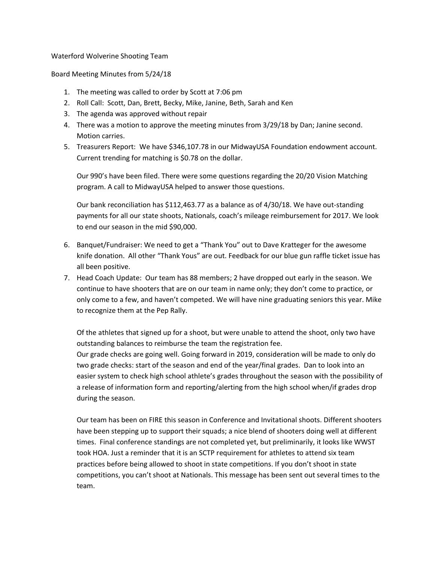Waterford Wolverine Shooting Team

Board Meeting Minutes from 5/24/18

- 1. The meeting was called to order by Scott at 7:06 pm
- 2. Roll Call: Scott, Dan, Brett, Becky, Mike, Janine, Beth, Sarah and Ken
- 3. The agenda was approved without repair
- 4. There was a motion to approve the meeting minutes from 3/29/18 by Dan; Janine second. Motion carries.
- 5. Treasurers Report: We have \$346,107.78 in our MidwayUSA Foundation endowment account. Current trending for matching is \$0.78 on the dollar.

Our 990's have been filed. There were some questions regarding the 20/20 Vision Matching program. A call to MidwayUSA helped to answer those questions.

Our bank reconciliation has \$112,463.77 as a balance as of 4/30/18. We have out-standing payments for all our state shoots, Nationals, coach's mileage reimbursement for 2017. We look to end our season in the mid \$90,000.

- 6. Banquet/Fundraiser: We need to get a "Thank You" out to Dave Kratteger for the awesome knife donation. All other "Thank Yous" are out. Feedback for our blue gun raffle ticket issue has all been positive.
- 7. Head Coach Update: Our team has 88 members; 2 have dropped out early in the season. We continue to have shooters that are on our team in name only; they don't come to practice, or only come to a few, and haven't competed. We will have nine graduating seniors this year. Mike to recognize them at the Pep Rally.

Of the athletes that signed up for a shoot, but were unable to attend the shoot, only two have outstanding balances to reimburse the team the registration fee. Our grade checks are going well. Going forward in 2019, consideration will be made to only do two grade checks: start of the season and end of the year/final grades. Dan to look into an easier system to check high school athlete's grades throughout the season with the possibility of a release of information form and reporting/alerting from the high school when/if grades drop during the season.

Our team has been on FIRE this season in Conference and Invitational shoots. Different shooters have been stepping up to support their squads; a nice blend of shooters doing well at different times. Final conference standings are not completed yet, but preliminarily, it looks like WWST took HOA. Just a reminder that it is an SCTP requirement for athletes to attend six team practices before being allowed to shoot in state competitions. If you don't shoot in state competitions, you can't shoot at Nationals. This message has been sent out several times to the team.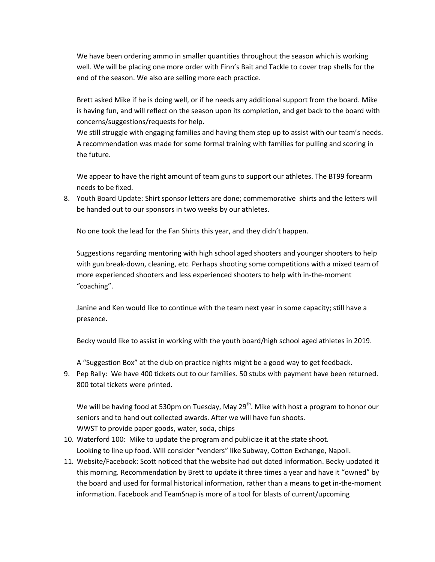We have been ordering ammo in smaller quantities throughout the season which is working well. We will be placing one more order with Finn's Bait and Tackle to cover trap shells for the end of the season. We also are selling more each practice.

Brett asked Mike if he is doing well, or if he needs any additional support from the board. Mike is having fun, and will reflect on the season upon its completion, and get back to the board with concerns/suggestions/requests for help.

We still struggle with engaging families and having them step up to assist with our team's needs. A recommendation was made for some formal training with families for pulling and scoring in the future.

We appear to have the right amount of team guns to support our athletes. The BT99 forearm needs to be fixed.

8. Youth Board Update: Shirt sponsor letters are done; commemorative shirts and the letters will be handed out to our sponsors in two weeks by our athletes.

No one took the lead for the Fan Shirts this year, and they didn't happen.

Suggestions regarding mentoring with high school aged shooters and younger shooters to help with gun break-down, cleaning, etc. Perhaps shooting some competitions with a mixed team of more experienced shooters and less experienced shooters to help with in-the-moment "coaching".

Janine and Ken would like to continue with the team next year in some capacity; still have a presence.

Becky would like to assist in working with the youth board/high school aged athletes in 2019.

A "Suggestion Box" at the club on practice nights might be a good way to get feedback.

9. Pep Rally: We have 400 tickets out to our families. 50 stubs with payment have been returned. 800 total tickets were printed.

We will be having food at 530pm on Tuesday, May 29<sup>th</sup>. Mike with host a program to honor our seniors and to hand out collected awards. After we will have fun shoots. WWST to provide paper goods, water, soda, chips

- 10. Waterford 100: Mike to update the program and publicize it at the state shoot. Looking to line up food. Will consider "venders" like Subway, Cotton Exchange, Napoli.
- 11. Website/Facebook: Scott noticed that the website had out dated information. Becky updated it this morning. Recommendation by Brett to update it three times a year and have it "owned" by the board and used for formal historical information, rather than a means to get in-the-moment information. Facebook and TeamSnap is more of a tool for blasts of current/upcoming